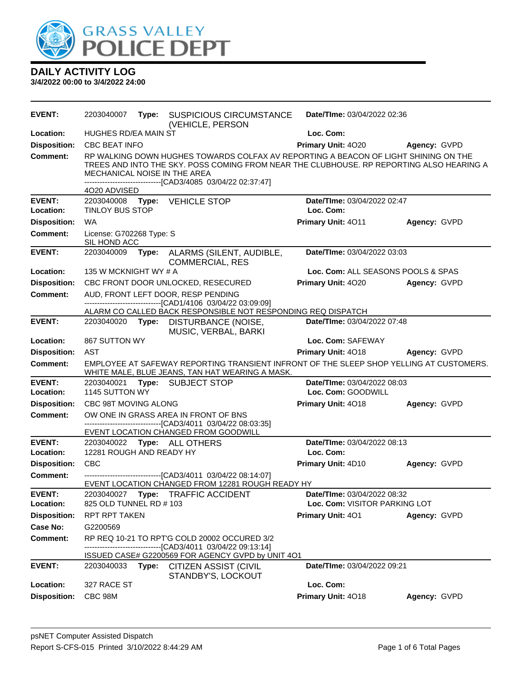

| <b>EVENT:</b>              | 2203040007                                                                                                                                 | Type: | <b>SUSPICIOUS CIRCUMSTANCE</b><br>(VEHICLE, PERSON                                                                                                                                                                                             | Date/TIme: 03/04/2022 02:36              |                     |  |
|----------------------------|--------------------------------------------------------------------------------------------------------------------------------------------|-------|------------------------------------------------------------------------------------------------------------------------------------------------------------------------------------------------------------------------------------------------|------------------------------------------|---------------------|--|
| Location:                  | HUGHES RD/EA MAIN ST                                                                                                                       |       |                                                                                                                                                                                                                                                | Loc. Com:                                |                     |  |
| <b>Disposition:</b>        | <b>CBC BEAT INFO</b>                                                                                                                       |       |                                                                                                                                                                                                                                                | Primary Unit: 4020                       | Agency: GVPD        |  |
| <b>Comment:</b>            | MECHANICAL NOISE IN THE AREA<br>4020 ADVISED                                                                                               |       | RP WALKING DOWN HUGHES TOWARDS COLFAX AV REPORTING A BEACON OF LIGHT SHINING ON THE<br>TREES AND INTO THE SKY. POSS COMING FROM NEAR THE CLUBHOUSE. RP REPORTING ALSO HEARING A<br>------------------------------[CAD3/4085 03/04/22 02:37:47] |                                          |                     |  |
| <b>EVENT:</b><br>Location: | <b>TINLOY BUS STOP</b>                                                                                                                     |       | 2203040008    Type: VEHICLE STOP                                                                                                                                                                                                               | Date/TIme: 03/04/2022 02:47<br>Loc. Com: |                     |  |
| <b>Disposition:</b>        | <b>WA</b>                                                                                                                                  |       |                                                                                                                                                                                                                                                | Primary Unit: 4011                       | Agency: GVPD        |  |
| Comment:                   | License: G702268 Type: S<br>SIL HOND ACC                                                                                                   |       |                                                                                                                                                                                                                                                |                                          |                     |  |
| <b>EVENT:</b>              | 2203040009                                                                                                                                 | Type: | ALARMS (SILENT, AUDIBLE,<br><b>COMMERCIAL, RES</b>                                                                                                                                                                                             | Date/TIme: 03/04/2022 03:03              |                     |  |
| Location:                  | 135 W MCKNIGHT WY # A                                                                                                                      |       |                                                                                                                                                                                                                                                | Loc. Com: ALL SEASONS POOLS & SPAS       |                     |  |
| <b>Disposition:</b>        |                                                                                                                                            |       | CBC FRONT DOOR UNLOCKED, RESECURED                                                                                                                                                                                                             | <b>Primary Unit: 4020</b>                | Agency: GVPD        |  |
| <b>Comment:</b>            |                                                                                                                                            |       | AUD, FRONT LEFT DOOR, RESP PENDING                                                                                                                                                                                                             |                                          |                     |  |
|                            | -------------------------------[CAD1/4106 03/04/22 03:09:09]<br>ALARM CO CALLED BACK RESPONSIBLE NOT RESPONDING REQ DISPATCH               |       |                                                                                                                                                                                                                                                |                                          |                     |  |
| <b>EVENT:</b>              |                                                                                                                                            |       | 2203040020 Type: DISTURBANCE (NOISE,<br>MUSIC, VERBAL, BARKI                                                                                                                                                                                   | <b>Date/Time: 03/04/2022 07:48</b>       |                     |  |
| Location:                  | 867 SUTTON WY                                                                                                                              |       |                                                                                                                                                                                                                                                | Loc. Com: SAFEWAY                        |                     |  |
| <b>Disposition:</b>        | <b>AST</b>                                                                                                                                 |       |                                                                                                                                                                                                                                                | Primary Unit: 4018                       | <b>Agency: GVPD</b> |  |
| <b>Comment:</b>            | EMPLOYEE AT SAFEWAY REPORTING TRANSIENT INFRONT OF THE SLEEP SHOP YELLING AT CUSTOMERS.<br>WHITE MALE, BLUE JEANS, TAN HAT WEARING A MASK. |       |                                                                                                                                                                                                                                                |                                          |                     |  |
| <b>EVENT:</b>              | 2203040021                                                                                                                                 |       | Type: SUBJECT STOP                                                                                                                                                                                                                             | Date/TIme: 03/04/2022 08:03              |                     |  |
| Location:                  | 1145 SUTTON WY                                                                                                                             |       |                                                                                                                                                                                                                                                | Loc. Com: GOODWILL                       |                     |  |
| <b>Disposition:</b>        | CBC 98T MOVING ALONG                                                                                                                       |       |                                                                                                                                                                                                                                                | Primary Unit: 4018                       | Agency: GVPD        |  |
| <b>Comment:</b>            |                                                                                                                                            |       | OW ONE IN GRASS AREA IN FRONT OF BNS<br>------------------------------[CAD3/4011_03/04/22_08:03:35]<br>EVENT LOCATION CHANGED FROM GOODWILL                                                                                                    |                                          |                     |  |
| <b>EVENT:</b>              |                                                                                                                                            |       | 2203040022 Type: ALL OTHERS                                                                                                                                                                                                                    | Date/TIme: 03/04/2022 08:13              |                     |  |
| Location:                  | 12281 ROUGH AND READY HY                                                                                                                   |       |                                                                                                                                                                                                                                                | Loc. Com:                                |                     |  |
| <b>Disposition:</b>        | <b>CBC</b>                                                                                                                                 |       |                                                                                                                                                                                                                                                | Primary Unit: 4D10                       | Agency: GVPD        |  |
| <b>Comment:</b>            | -------------------------------[CAD3/4011 03/04/22 08:14:07]<br>EVENT LOCATION CHANGED FROM 12281 ROUGH READY HY                           |       |                                                                                                                                                                                                                                                |                                          |                     |  |
| <b>EVENT:</b>              | 2203040027                                                                                                                                 |       | Type: TRAFFIC ACCIDENT                                                                                                                                                                                                                         | Date/TIme: 03/04/2022 08:32              |                     |  |
| Location:                  | 825 OLD TUNNEL RD # 103                                                                                                                    |       |                                                                                                                                                                                                                                                | Loc. Com: VISITOR PARKING LOT            |                     |  |
| <b>Disposition:</b>        | <b>RPT RPT TAKEN</b>                                                                                                                       |       |                                                                                                                                                                                                                                                | <b>Primary Unit: 401</b>                 | Agency: GVPD        |  |
| <b>Case No:</b>            | G2200569                                                                                                                                   |       |                                                                                                                                                                                                                                                |                                          |                     |  |
| <b>Comment:</b>            |                                                                                                                                            |       | RP REQ 10-21 TO RPT'G COLD 20002 OCCURED 3/2<br>------------------------[CAD3/4011_03/04/22_09:13:14]                                                                                                                                          |                                          |                     |  |
|                            |                                                                                                                                            |       | ISSUED CASE# G2200569 FOR AGENCY GVPD by UNIT 4O1                                                                                                                                                                                              |                                          |                     |  |
| <b>EVENT:</b>              | 2203040033                                                                                                                                 |       | <b>Type: CITIZEN ASSIST (CIVIL</b><br>STANDBY'S, LOCKOUT                                                                                                                                                                                       | Date/TIme: 03/04/2022 09:21              |                     |  |
| Location:                  | 327 RACE ST                                                                                                                                |       |                                                                                                                                                                                                                                                | Loc. Com:                                |                     |  |
| <b>Disposition:</b>        |                                                                                                                                            |       |                                                                                                                                                                                                                                                | Primary Unit: 4018                       | Agency: GVPD        |  |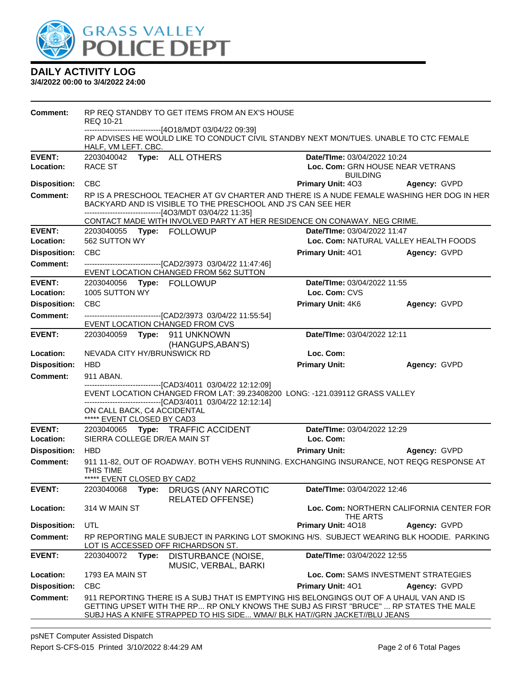

| Comment:                   | REQ 10-21                                                                                                                                                                                                            |       | RP REQ STANDBY TO GET ITEMS FROM AN EX'S HOUSE<br>-------------------------------[4O18/MDT 03/04/22 09:39]                  |                                                                                                                                                                                                                                                                |                                       |
|----------------------------|----------------------------------------------------------------------------------------------------------------------------------------------------------------------------------------------------------------------|-------|-----------------------------------------------------------------------------------------------------------------------------|----------------------------------------------------------------------------------------------------------------------------------------------------------------------------------------------------------------------------------------------------------------|---------------------------------------|
|                            | HALF, VM LEFT. CBC.                                                                                                                                                                                                  |       |                                                                                                                             | RP ADVISES HE WOULD LIKE TO CONDUCT CIVIL STANDBY NEXT MON/TUES. UNABLE TO CTC FEMALE                                                                                                                                                                          |                                       |
| <b>EVENT:</b>              | 2203040042                                                                                                                                                                                                           |       | Type: ALL OTHERS                                                                                                            | Date/TIme: 03/04/2022 10:24                                                                                                                                                                                                                                    |                                       |
| Location:                  | <b>RACE ST</b><br>Loc. Com: GRN HOUSE NEAR VETRANS<br><b>BUILDING</b>                                                                                                                                                |       |                                                                                                                             |                                                                                                                                                                                                                                                                |                                       |
| <b>Disposition:</b>        | <b>CBC</b>                                                                                                                                                                                                           |       |                                                                                                                             | Primary Unit: 403                                                                                                                                                                                                                                              | Agency: GVPD                          |
| <b>Comment:</b>            | RP IS A PRESCHOOL TEACHER AT GV CHARTER AND THERE IS A NUDE FEMALE WASHING HER DOG IN HER<br>BACKYARD AND IS VISIBLE TO THE PRESCHOOL AND J'S CAN SEE HER<br>-------------------------------[4O3/MDT 03/04/22 11:35] |       |                                                                                                                             |                                                                                                                                                                                                                                                                |                                       |
|                            | CONTACT MADE WITH INVOLVED PARTY AT HER RESIDENCE ON CONAWAY. NEG CRIME.                                                                                                                                             |       |                                                                                                                             |                                                                                                                                                                                                                                                                |                                       |
| <b>EVENT:</b>              |                                                                                                                                                                                                                      |       |                                                                                                                             | Date/TIme: 03/04/2022 11:47                                                                                                                                                                                                                                    |                                       |
| Location:                  | 562 SUTTON WY                                                                                                                                                                                                        |       |                                                                                                                             |                                                                                                                                                                                                                                                                | Loc. Com: NATURAL VALLEY HEALTH FOODS |
| <b>Disposition:</b>        | <b>CBC</b>                                                                                                                                                                                                           |       |                                                                                                                             | <b>Primary Unit: 401</b>                                                                                                                                                                                                                                       | Agency: GVPD                          |
| <b>Comment:</b>            |                                                                                                                                                                                                                      |       | -------------------------------[CAD2/3973 03/04/22 11:47:46]<br>EVENT LOCATION CHANGED FROM 562 SUTTON                      |                                                                                                                                                                                                                                                                |                                       |
| <b>EVENT:</b>              |                                                                                                                                                                                                                      |       | 2203040056 Type: FOLLOWUP                                                                                                   | Date/TIme: 03/04/2022 11:55                                                                                                                                                                                                                                    |                                       |
| Location:                  | 1005 SUTTON WY                                                                                                                                                                                                       |       |                                                                                                                             | Loc. Com: CVS                                                                                                                                                                                                                                                  |                                       |
| <b>Disposition:</b>        | <b>CBC</b>                                                                                                                                                                                                           |       |                                                                                                                             | Primary Unit: 4K6                                                                                                                                                                                                                                              | Agency: GVPD                          |
| <b>Comment:</b>            |                                                                                                                                                                                                                      |       | -------------------------------[CAD2/3973 03/04/22 11:55:54]<br>EVENT LOCATION CHANGED FROM CVS                             |                                                                                                                                                                                                                                                                |                                       |
| <b>EVENT:</b>              |                                                                                                                                                                                                                      |       | 2203040059    Type: 911    UNKNOWN<br>(HANGUPS, ABAN'S)                                                                     | Date/TIme: 03/04/2022 12:11                                                                                                                                                                                                                                    |                                       |
| Location:                  | NEVADA CITY HY/BRUNSWICK RD                                                                                                                                                                                          |       |                                                                                                                             | Loc. Com:                                                                                                                                                                                                                                                      |                                       |
| <b>Disposition:</b>        | <b>HBD</b>                                                                                                                                                                                                           |       |                                                                                                                             | <b>Primary Unit:</b>                                                                                                                                                                                                                                           | Agency: GVPD                          |
| <b>Comment:</b>            | 911 ABAN.                                                                                                                                                                                                            |       |                                                                                                                             |                                                                                                                                                                                                                                                                |                                       |
|                            | ON CALL BACK, C4 ACCIDENTAL<br>***** EVENT CLOSED BY CAD3                                                                                                                                                            |       | ------------------------------[CAD3/4011 03/04/22 12:12:09]<br>-------------------------------[CAD3/4011 03/04/22 12:12:14] | EVENT LOCATION CHANGED FROM LAT: 39.23408200 LONG: -121.039112 GRASS VALLEY                                                                                                                                                                                    |                                       |
| <b>EVENT:</b><br>Location: | SIERRA COLLEGE DR/EA MAIN ST                                                                                                                                                                                         |       | 2203040065 Type: TRAFFIC ACCIDENT                                                                                           | Date/TIme: 03/04/2022 12:29<br>Loc. Com:                                                                                                                                                                                                                       |                                       |
| <b>Disposition:</b>        | <b>HBD</b>                                                                                                                                                                                                           |       |                                                                                                                             | <b>Primary Unit:</b>                                                                                                                                                                                                                                           | Agency: GVPD                          |
| <b>Comment:</b>            | 911 11-82, OUT OF ROADWAY. BOTH VEHS RUNNING. EXCHANGING INSURANCE, NOT REQG RESPONSE AT<br>THIS TIME<br>***** EVENT CLOSED BY CAD2                                                                                  |       |                                                                                                                             |                                                                                                                                                                                                                                                                |                                       |
| <b>EVENT:</b>              | 2203040068                                                                                                                                                                                                           | Type: | DRUGS (ANY NARCOTIC<br><b>RELATED OFFENSE)</b>                                                                              | Date/TIme: 03/04/2022 12:46                                                                                                                                                                                                                                    |                                       |
| Location:                  | Loc. Com: NORTHERN CALIFORNIA CENTER FOR<br>314 W MAIN ST<br>THE ARTS                                                                                                                                                |       |                                                                                                                             |                                                                                                                                                                                                                                                                |                                       |
| <b>Disposition:</b>        | UTL                                                                                                                                                                                                                  |       |                                                                                                                             | Primary Unit: 4018                                                                                                                                                                                                                                             | Agency: GVPD                          |
| <b>Comment:</b>            |                                                                                                                                                                                                                      |       | LOT IS ACCESSED OFF RICHARDSON ST.                                                                                          | RP REPORTING MALE SUBJECT IN PARKING LOT SMOKING H/S. SUBJECT WEARING BLK HOODIE. PARKING                                                                                                                                                                      |                                       |
| <b>EVENT:</b>              | 2203040072                                                                                                                                                                                                           | Type: | DISTURBANCE (NOISE,<br>MUSIC, VERBAL, BARKI                                                                                 | Date/TIme: 03/04/2022 12:55                                                                                                                                                                                                                                    |                                       |
| Location:                  | Loc. Com: SAMS INVESTMENT STRATEGIES<br>1793 EA MAIN ST                                                                                                                                                              |       |                                                                                                                             |                                                                                                                                                                                                                                                                |                                       |
| <b>Disposition:</b>        | <b>CBC</b>                                                                                                                                                                                                           |       |                                                                                                                             | Primary Unit: 401                                                                                                                                                                                                                                              | Agency: GVPD                          |
| <b>Comment:</b>            |                                                                                                                                                                                                                      |       |                                                                                                                             | 911 REPORTING THERE IS A SUBJ THAT IS EMPTYING HIS BELONGINGS OUT OF A UHAUL VAN AND IS<br>GETTING UPSET WITH THE RP RP ONLY KNOWS THE SUBJ AS FIRST "BRUCE"  RP STATES THE MALE<br>SUBJ HAS A KNIFE STRAPPED TO HIS SIDE WMA// BLK HAT//GRN JACKET//BLU JEANS |                                       |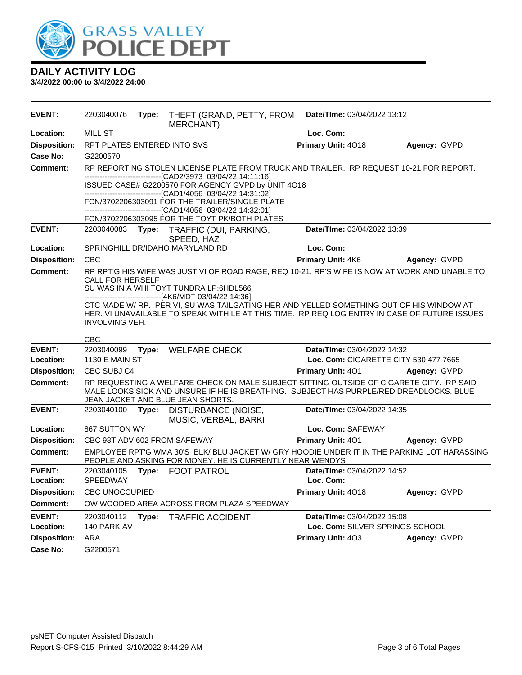

#### **DAILY ACTIVITY LOG 3/4/2022 00:00 to 3/4/2022 24:00**

**EVENT:** 2203040076 **Type:** THEFT (GRAND, PETTY, FROM MERCHANT) **Date/TIme:** 03/04/2022 13:12 **Location:** MILL ST **Loc. Com: Disposition:** RPT PLATES ENTERED INTO SVS **Primary Unit:** 4O18 **Agency:** GVPD **Case No:** G2200570 **Comment:** RP REPORTING STOLEN LICENSE PLATE FROM TRUCK AND TRAILER. RP REQUEST 10-21 FOR REPORT. ------------------------------[CAD2/3973 03/04/22 14:11:16] ISSUED CASE# G2200570 FOR AGENCY GVPD by UNIT 4O18 ------------------------------[CAD1/4056 03/04/22 14:31:02] FCN/3702206303091 FOR THE TRAILER/SINGLE PLATE ------------------------------[CAD1/4056 03/04/22 14:32:01] FCN/3702206303095 FOR THE TOYT PK/BOTH PLATES **EVENT:** 2203040083 **Type:** TRAFFIC (DUI, PARKING, SPEED, HAZ **Date/TIme:** 03/04/2022 13:39 **Location:** SPRINGHILL DR/IDAHO MARYLAND RD **Loc. Com: Disposition:** CBC **Primary Unit:** 4K6 **Agency:** GVPD **Comment:** RP RPT'G HIS WIFE WAS JUST VI OF ROAD RAGE, REQ 10-21. RP'S WIFE IS NOW AT WORK AND UNABLE TO CALL FOR HERSELF SU WAS IN A WHI TOYT TUNDRA LP:6HDL566 ------------------------------[4K6/MDT 03/04/22 14:36] CTC MADE W/ RP. PER VI, SU WAS TAILGATING HER AND YELLED SOMETHING OUT OF HIS WINDOW AT HER. VI UNAVAILABLE TO SPEAK WITH LE AT THIS TIME. RP REQ LOG ENTRY IN CASE OF FUTURE ISSUES INVOLVING VEH. CBC **EVENT:** 2203040099 **Type:** WELFARE CHECK **Date/TIme:** 03/04/2022 14:32 **Location:** 1130 E MAIN ST **Loc. Com:** CIGARETTE CITY 530 477 7665 **Disposition:** CBC SUBJ C4 **Primary Unit:** 4O1 **Agency:** GVPD **Comment:** RP REQUESTING A WELFARE CHECK ON MALE SUBJECT SITTING OUTSIDE OF CIGARETE CITY. RP SAID MALE LOOKS SICK AND UNSURE IF HE IS BREATHING. SUBJECT HAS PURPLE/RED DREADLOCKS, BLUE JEAN JACKET AND BLUE JEAN SHORTS. **EVENT:** 2203040100 **Type:** DISTURBANCE (NOISE, MUSIC, VERBAL, BARKI **Date/TIme:** 03/04/2022 14:35 **Location:** 867 SUTTON WY **Loc. Com:** SAFEWAY **Disposition:** CBC 98T ADV 602 FROM SAFEWAY **Primary Unit:** 4O1 **Agency:** GVPD **Comment:** EMPLOYEE RPT'G WMA 30'S BLK/ BLU JACKET W/ GRY HOODIE UNDER IT IN THE PARKING LOT HARASSING PEOPLE AND ASKING FOR MONEY. HE IS CURRENTLY NEAR WENDYS **EVENT:** 2203040105 **Type:** FOOT PATROL **Date/TIme:** 03/04/2022 14:52 **Location:** SPEEDWAY **Loc. Com: Disposition:** CBC UNOCCUPIED **Primary Unit:** 4O18 **Agency:** GVPD **Comment:** OW WOODED AREA ACROSS FROM PLAZA SPEEDWAY **EVENT:** 2203040112 **Type:** TRAFFIC ACCIDENT **Date/TIme:** 03/04/2022 15:08 **Location:** 140 PARK AV **Loc. Com:** SILVER SPRINGS SCHOOL **Disposition:** ARA **Primary Unit:** 4O3 **Agency:** GVPD **Case No:** G2200571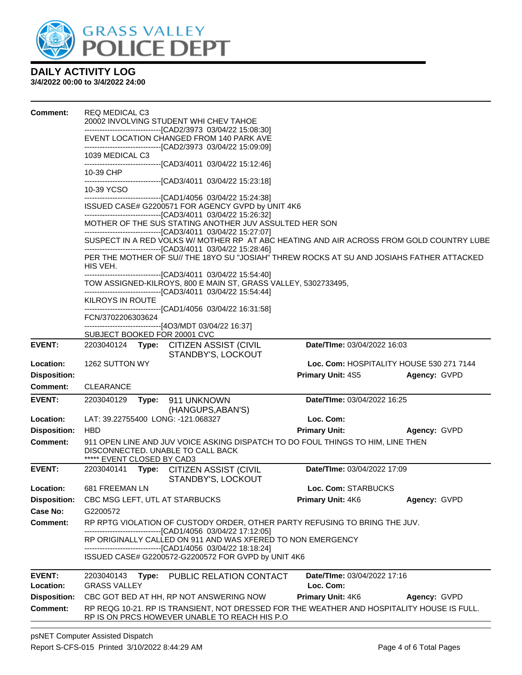

| <b>Comment:</b>     | <b>REQ MEDICAL C3</b><br>20002 INVOLVING STUDENT WHI CHEV TAHOE                                                                                                                                 |                                                                                                                                                            |                                          |              |  |  |  |
|---------------------|-------------------------------------------------------------------------------------------------------------------------------------------------------------------------------------------------|------------------------------------------------------------------------------------------------------------------------------------------------------------|------------------------------------------|--------------|--|--|--|
|                     | --------------------------------[CAD2/3973 03/04/22 15:08:30]<br>EVENT LOCATION CHANGED FROM 140 PARK AVE<br>-------------------------------[CAD2/3973 03/04/22 15:09:09]                       |                                                                                                                                                            |                                          |              |  |  |  |
|                     | 1039 MEDICAL C3<br>----------------------------------[CAD3/4011 03/04/22 15:12:46]                                                                                                              |                                                                                                                                                            |                                          |              |  |  |  |
|                     | 10-39 CHP<br>---------------------------------[CAD3/4011 03/04/22 15:23:18]                                                                                                                     |                                                                                                                                                            |                                          |              |  |  |  |
|                     | 10-39 YCSO<br>------------------------------[CAD1/4056 03/04/22 15:24:38]                                                                                                                       |                                                                                                                                                            |                                          |              |  |  |  |
|                     | ISSUED CASE# G2200571 FOR AGENCY GVPD by UNIT 4K6<br>-------------------------------[CAD3/4011 03/04/22 15:26:32]                                                                               |                                                                                                                                                            |                                          |              |  |  |  |
|                     |                                                                                                                                                                                                 | MOTHER OF THE SUS STATING ANOTHER JUV ASSULTED HER SON                                                                                                     |                                          |              |  |  |  |
|                     |                                                                                                                                                                                                 | --------------------------------[CAD3/4011 03/04/22 15:27:07]<br>SUSPECT IN A RED VOLKS W/ MOTHER RP AT ABC HEATING AND AIR ACROSS FROM GOLD COUNTRY LUBE  |                                          |              |  |  |  |
|                     | HIS VEH.                                                                                                                                                                                        | --------------------------------[CAD3/4011 03/04/22 15:28:46]<br>PER THE MOTHER OF SU// THE 18YO SU "JOSIAH" THREW ROCKS AT SU AND JOSIAHS FATHER ATTACKED |                                          |              |  |  |  |
|                     | -------------------------------[CAD3/4011_03/04/22_15:54:40]<br>TOW ASSIGNED-KILROYS, 800 E MAIN ST, GRASS VALLEY, 5302733495,<br>--------------------------------[CAD3/4011 03/04/22 15:54:44] |                                                                                                                                                            |                                          |              |  |  |  |
|                     | <b>KILROYS IN ROUTE</b><br>-----------------------------------[CAD1/4056 03/04/22 16:31:58]                                                                                                     |                                                                                                                                                            |                                          |              |  |  |  |
|                     | FCN/3702206303624<br>-------------------------------[4O3/MDT 03/04/22 16:37]                                                                                                                    |                                                                                                                                                            |                                          |              |  |  |  |
|                     | SUBJECT BOOKED FOR 20001 CVC                                                                                                                                                                    |                                                                                                                                                            |                                          |              |  |  |  |
| <b>EVENT:</b>       | 2203040124 Type: CITIZEN ASSIST (CIVIL                                                                                                                                                          | STANDBY'S, LOCKOUT                                                                                                                                         | Date/TIme: 03/04/2022 16:03              |              |  |  |  |
| Location:           | 1262 SUTTON WY                                                                                                                                                                                  |                                                                                                                                                            | Loc. Com: HOSPITALITY HOUSE 530 271 7144 |              |  |  |  |
| <b>Disposition:</b> |                                                                                                                                                                                                 |                                                                                                                                                            | <b>Primary Unit: 4S5</b>                 | Agency: GVPD |  |  |  |
| <b>Comment:</b>     | <b>CLEARANCE</b>                                                                                                                                                                                |                                                                                                                                                            |                                          |              |  |  |  |
| <b>EVENT:</b>       | 2203040129<br>Type: 911 UNKNOWN                                                                                                                                                                 | (HANGUPS, ABAN'S)                                                                                                                                          | <b>Date/Time: 03/04/2022 16:25</b>       |              |  |  |  |
| Location:           | LAT: 39.22755400 LONG: -121.068327                                                                                                                                                              |                                                                                                                                                            | Loc. Com:                                |              |  |  |  |
| <b>Disposition:</b> | <b>HBD</b>                                                                                                                                                                                      |                                                                                                                                                            | <b>Primary Unit:</b>                     | Agency: GVPD |  |  |  |
| Comment:            | 911 OPEN LINE AND JUV VOICE ASKING DISPATCH TO DO FOUL THINGS TO HIM, LINE THEN<br>DISCONNECTED. UNABLE TO CALL BACK<br>***** EVENT CLOSED BY CAD3                                              |                                                                                                                                                            |                                          |              |  |  |  |
| <b>EVENT:</b>       | 2203040141 Type: CITIZEN ASSIST (CIVIL                                                                                                                                                          | STANDBY'S, LOCKOUT                                                                                                                                         | Date/TIme: 03/04/2022 17:09              |              |  |  |  |
| Location:           | 681 FREEMAN LN                                                                                                                                                                                  |                                                                                                                                                            | Loc. Com: STARBUCKS                      |              |  |  |  |
| <b>Disposition:</b> | CBC MSG LEFT, UTL AT STARBUCKS                                                                                                                                                                  |                                                                                                                                                            | <b>Primary Unit: 4K6</b>                 | Agency: GVPD |  |  |  |
| Case No:            | G2200572                                                                                                                                                                                        |                                                                                                                                                            |                                          |              |  |  |  |
| <b>Comment:</b>     | RP RPTG VIOLATION OF CUSTODY ORDER, OTHER PARTY REFUSING TO BRING THE JUV.<br>-------------------------------[CAD1/4056 03/04/22 17:12:05]                                                      |                                                                                                                                                            |                                          |              |  |  |  |
|                     | RP ORIGINALLY CALLED ON 911 AND WAS XFERED TO NON EMERGENCY                                                                                                                                     |                                                                                                                                                            |                                          |              |  |  |  |
|                     | -----------------[CAD1/4056_03/04/22_18:18:24]<br>ISSUED CASE# G2200572-G2200572 FOR GVPD by UNIT 4K6                                                                                           |                                                                                                                                                            |                                          |              |  |  |  |
| <b>EVENT:</b>       | 2203040143                                                                                                                                                                                      | Type: PUBLIC RELATION CONTACT                                                                                                                              | Date/TIme: 03/04/2022 17:16              |              |  |  |  |
| Location:           | <b>GRASS VALLEY</b>                                                                                                                                                                             |                                                                                                                                                            | Loc. Com:                                |              |  |  |  |
| <b>Disposition:</b> | CBC GOT BED AT HH, RP NOT ANSWERING NOW                                                                                                                                                         |                                                                                                                                                            | <b>Primary Unit: 4K6</b>                 | Agency: GVPD |  |  |  |
| <b>Comment:</b>     | RP REQG 10-21. RP IS TRANSIENT, NOT DRESSED FOR THE WEATHER AND HOSPITALITY HOUSE IS FULL.<br>RP IS ON PRCS HOWEVER UNABLE TO REACH HIS P.O.                                                    |                                                                                                                                                            |                                          |              |  |  |  |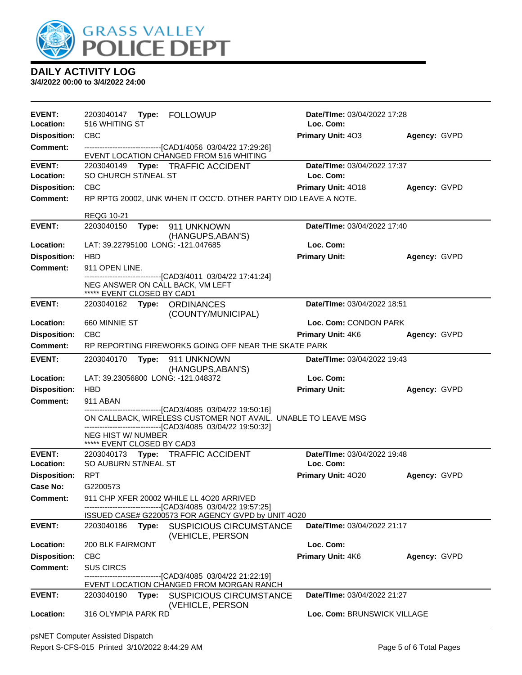

| <b>EVENT:</b><br>Location: | 516 WHITING ST                                                                                                                                                                                |                                                                                                                   | <b>Date/Time: 03/04/2022 17:28</b><br>Loc. Com: |              |  |
|----------------------------|-----------------------------------------------------------------------------------------------------------------------------------------------------------------------------------------------|-------------------------------------------------------------------------------------------------------------------|-------------------------------------------------|--------------|--|
| <b>Disposition:</b>        | <b>CBC</b>                                                                                                                                                                                    |                                                                                                                   | Primary Unit: 403                               | Agency: GVPD |  |
| <b>Comment:</b>            |                                                                                                                                                                                               | -------------------------------[CAD1/4056 03/04/22 17:29:26]                                                      |                                                 |              |  |
|                            |                                                                                                                                                                                               | EVENT LOCATION CHANGED FROM 516 WHITING                                                                           |                                                 |              |  |
| <b>EVENT:</b>              | 2203040149                                                                                                                                                                                    | Type: TRAFFIC ACCIDENT                                                                                            | Date/TIme: 03/04/2022 17:37                     |              |  |
| Location:                  | SO CHURCH ST/NEAL ST                                                                                                                                                                          |                                                                                                                   | Loc. Com:                                       |              |  |
| <b>Disposition:</b>        | CBC                                                                                                                                                                                           |                                                                                                                   | Primary Unit: 4018                              | Agency: GVPD |  |
| <b>Comment:</b>            |                                                                                                                                                                                               | RP RPTG 20002, UNK WHEN IT OCC'D. OTHER PARTY DID LEAVE A NOTE.                                                   |                                                 |              |  |
|                            | <b>REQG 10-21</b>                                                                                                                                                                             |                                                                                                                   |                                                 |              |  |
| <b>EVENT:</b>              | 2203040150<br>Type:                                                                                                                                                                           | 911 UNKNOWN                                                                                                       | Date/TIme: 03/04/2022 17:40                     |              |  |
|                            |                                                                                                                                                                                               | (HANGUPS, ABAN'S)                                                                                                 |                                                 |              |  |
| Location:                  | LAT: 39.22795100 LONG: -121.047685                                                                                                                                                            |                                                                                                                   | Loc. Com:                                       |              |  |
| <b>Disposition:</b>        | <b>HBD</b>                                                                                                                                                                                    |                                                                                                                   | <b>Primary Unit:</b>                            | Agency: GVPD |  |
| <b>Comment:</b>            | 911 OPEN LINE.                                                                                                                                                                                | ------------------------------[CAD3/4011 03/04/22 17:41:24]                                                       |                                                 |              |  |
|                            | NEG ANSWER ON CALL BACK, VM LEFT<br>***** EVENT CLOSED BY CAD1                                                                                                                                |                                                                                                                   |                                                 |              |  |
| <b>EVENT:</b>              | 2203040162 Type: ORDINANCES                                                                                                                                                                   |                                                                                                                   | Date/TIme: 03/04/2022 18:51                     |              |  |
|                            |                                                                                                                                                                                               | (COUNTY/MUNICIPAL)                                                                                                |                                                 |              |  |
| Location:                  | 660 MINNIE ST                                                                                                                                                                                 |                                                                                                                   | Loc. Com: CONDON PARK                           |              |  |
| <b>Disposition:</b>        | <b>CBC</b>                                                                                                                                                                                    |                                                                                                                   | <b>Primary Unit: 4K6</b>                        | Agency: GVPD |  |
| <b>Comment:</b>            |                                                                                                                                                                                               | RP REPORTING FIREWORKS GOING OFF NEAR THE SKATE PARK                                                              |                                                 |              |  |
| <b>EVENT:</b>              | Date/TIme: 03/04/2022 19:43<br>2203040170<br>Type:<br>911 UNKNOWN<br>(HANGUPS, ABAN'S)                                                                                                        |                                                                                                                   |                                                 |              |  |
| Location:                  | LAT: 39.23056800 LONG: -121.048372                                                                                                                                                            |                                                                                                                   | Loc. Com:                                       |              |  |
| <b>Disposition:</b>        | <b>HBD</b>                                                                                                                                                                                    |                                                                                                                   | <b>Primary Unit:</b>                            | Agency: GVPD |  |
| <b>Comment:</b>            | 911 ABAN                                                                                                                                                                                      |                                                                                                                   |                                                 |              |  |
|                            | -------------------------------[CAD3/4085 03/04/22 19:50:16]<br>ON CALLBACK, WIRELESS CUSTOMER NOT AVAIL. UNABLE TO LEAVE MSG<br>-------------------------------[CAD3/4085 03/04/22 19:50:32] |                                                                                                                   |                                                 |              |  |
|                            | <b>NEG HIST W/ NUMBER</b><br>***** EVENT CLOSED BY CAD3                                                                                                                                       |                                                                                                                   |                                                 |              |  |
| <b>EVENT:</b>              |                                                                                                                                                                                               | 2203040173 Type: TRAFFIC ACCIDENT                                                                                 | Date/TIme: 03/04/2022 19:48                     |              |  |
| Location:                  | SO AUBURN ST/NEAL ST                                                                                                                                                                          |                                                                                                                   | Loc. Com:                                       |              |  |
| <b>Disposition:</b>        | <b>RPT</b>                                                                                                                                                                                    |                                                                                                                   | <b>Primary Unit: 4020</b>                       | Agency: GVPD |  |
| Case No:                   | G2200573                                                                                                                                                                                      |                                                                                                                   |                                                 |              |  |
| Comment:                   |                                                                                                                                                                                               | 911 CHP XFER 20002 WHILE LL 4O20 ARRIVED                                                                          |                                                 |              |  |
|                            |                                                                                                                                                                                               | ------------------------------[CAD3/4085 03/04/22 19:57:25]<br>ISSUED CASE# G2200573 FOR AGENCY GVPD by UNIT 4O20 |                                                 |              |  |
| <b>EVENT:</b>              | 2203040186                                                                                                                                                                                    | Type: SUSPICIOUS CIRCUMSTANCE                                                                                     | Date/TIme: 03/04/2022 21:17                     |              |  |
|                            |                                                                                                                                                                                               | (VEHICLE, PERSON                                                                                                  |                                                 |              |  |
| Location:                  | <b>200 BLK FAIRMONT</b>                                                                                                                                                                       |                                                                                                                   | Loc. Com:                                       |              |  |
| <b>Disposition:</b>        | <b>CBC</b>                                                                                                                                                                                    |                                                                                                                   | Primary Unit: 4K6                               | Agency: GVPD |  |
| <b>Comment:</b>            | <b>SUS CIRCS</b>                                                                                                                                                                              |                                                                                                                   |                                                 |              |  |
|                            |                                                                                                                                                                                               | -------------------------------[CAD3/4085_03/04/22 21:22:19]<br>EVENT LOCATION CHANGED FROM MORGAN RANCH          |                                                 |              |  |
| <b>EVENT:</b>              | 2203040190<br>Type:                                                                                                                                                                           | <b>SUSPICIOUS CIRCUMSTANCE</b>                                                                                    | Date/TIme: 03/04/2022 21:27                     |              |  |
| Location:                  | 316 OLYMPIA PARK RD                                                                                                                                                                           | (VEHICLE, PERSON                                                                                                  | Loc. Com: BRUNSWICK VILLAGE                     |              |  |